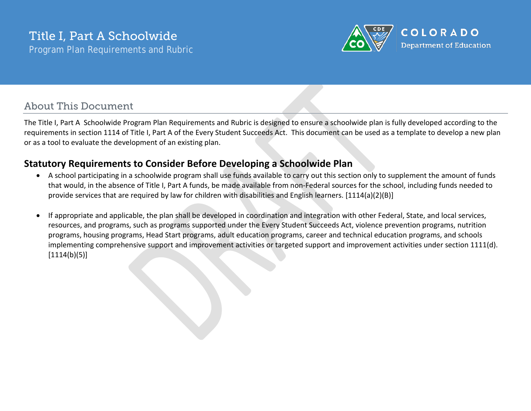

# About This Document

The Title I, Part A Schoolwide Program Plan Requirements and Rubric is designed to ensure a schoolwide plan is fully developed according to the requirements in section 1114 of Title I, Part A of the Every Student Succeeds Act. This document can be used as a template to develop a new plan or as a tool to evaluate the development of an existing plan.

## **Statutory Requirements to Consider Before Developing a Schoolwide Plan**

- A school participating in a schoolwide program shall use funds available to carry out this section only to supplement the amount of funds that would, in the absence of Title I, Part A funds, be made available from non-Federal sources for the school, including funds needed to provide services that are required by law for children with disabilities and English learners. [1114(a)(2)(B)]
- If appropriate and applicable, the plan shall be developed in coordination and integration with other Federal, State, and local services, resources, and programs, such as programs supported under the Every Student Succeeds Act, violence prevention programs, nutrition programs, housing programs, Head Start programs, adult education programs, career and technical education programs, and schools implementing comprehensive support and improvement activities or targeted support and improvement activities under section 1111(d).  $[1114(b)(5)]$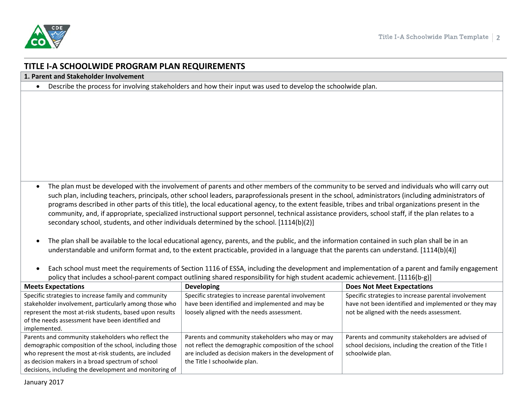

## **TITLE I-A SCHOOLWIDE PROGRAM PLAN REQUIREMENTS**

**1. Parent and Stakeholder Involvement**

• Describe the process for involving stakeholders and how their input was used to develop the schoolwide plan.

• The plan must be developed with the involvement of parents and other members of the community to be served and individuals who will carry out such plan, including teachers, principals, other school leaders, paraprofessionals present in the school, administrators (including administrators of programs described in other parts of this title), the local educational agency, to the extent feasible, tribes and tribal organizations present in the community, and, if appropriate, specialized instructional support personnel, technical assistance providers, school staff, if the plan relates to a secondary school, students, and other individuals determined by the school. [1114(b)(2)]

• The plan shall be available to the local educational agency, parents, and the public, and the information contained in such plan shall be in an understandable and uniform format and, to the extent practicable, provided in a language that the parents can understand. [1114(b)(4)]

• Each school must meet the requirements of Section 1116 of ESSA, including the development and implementation of a parent and family engagement policy that includes a school-parent compact outlining shared responsibility for high student academic achievement. [1116(b-g)]

| <b>Meets Expectations</b>                               | <b>Developing</b>                                     | <b>Does Not Meet Expectations</b>                       |
|---------------------------------------------------------|-------------------------------------------------------|---------------------------------------------------------|
| Specific strategies to increase family and community    | Specific strategies to increase parental involvement  | Specific strategies to increase parental involvement    |
| stakeholder involvement, particularly among those who   | have been identified and implemented and may be       | have not been identified and implemented or they may    |
| represent the most at-risk students, based upon results | loosely aligned with the needs assessment.            | not be aligned with the needs assessment.               |
| of the needs assessment have been identified and        |                                                       |                                                         |
| implemented.                                            |                                                       |                                                         |
| Parents and community stakeholders who reflect the      | Parents and community stakeholders who may or may     | Parents and community stakeholders are advised of       |
| demographic composition of the school, including those  | not reflect the demographic composition of the school | school decisions, including the creation of the Title I |
| who represent the most at-risk students, are included   | are included as decision makers in the development of | schoolwide plan.                                        |
| as decision makers in a broad spectrum of school        | the Title I schoolwide plan.                          |                                                         |
| decisions, including the development and monitoring of  |                                                       |                                                         |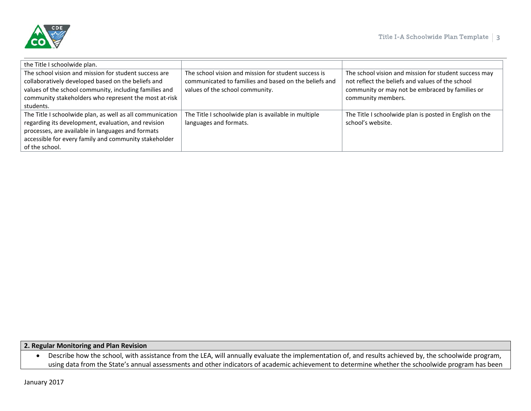

| the Title I schoolwide plan.                                                                                                                                                                                                                     |                                                                                                                                                  |                                                                                                                                                                                    |
|--------------------------------------------------------------------------------------------------------------------------------------------------------------------------------------------------------------------------------------------------|--------------------------------------------------------------------------------------------------------------------------------------------------|------------------------------------------------------------------------------------------------------------------------------------------------------------------------------------|
| The school vision and mission for student success are<br>collaboratively developed based on the beliefs and<br>values of the school community, including families and<br>community stakeholders who represent the most at-risk<br>students.      | The school vision and mission for student success is<br>communicated to families and based on the beliefs and<br>values of the school community. | The school vision and mission for student success may<br>not reflect the beliefs and values of the school<br>community or may not be embraced by families or<br>community members. |
| The Title I schoolwide plan, as well as all communication<br>regarding its development, evaluation, and revision<br>processes, are available in languages and formats<br>accessible for every family and community stakeholder<br>of the school. | The Title I schoolwide plan is available in multiple<br>languages and formats.                                                                   | The Title I schoolwide plan is posted in English on the<br>school's website.                                                                                                       |

#### **2. Regular Monitoring and Plan Revision**

• Describe how the school, with assistance from the LEA, will annually evaluate the implementation of, and results achieved by, the schoolwide program, using data from the State's annual assessments and other indicators of academic achievement to determine whether the schoolwide program has been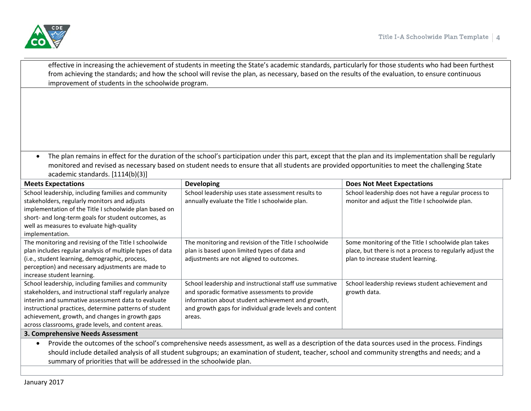

| improvement of students in the schoolwide program.                                                                                                                                                                                                                                                                                      | effective in increasing the achievement of students in meeting the State's academic standards, particularly for those students who had been furthest<br>from achieving the standards; and how the school will revise the plan, as necessary, based on the results of the evaluation, to ensure continuous   |                                                                                                                                                         |
|-----------------------------------------------------------------------------------------------------------------------------------------------------------------------------------------------------------------------------------------------------------------------------------------------------------------------------------------|-------------------------------------------------------------------------------------------------------------------------------------------------------------------------------------------------------------------------------------------------------------------------------------------------------------|---------------------------------------------------------------------------------------------------------------------------------------------------------|
|                                                                                                                                                                                                                                                                                                                                         |                                                                                                                                                                                                                                                                                                             |                                                                                                                                                         |
|                                                                                                                                                                                                                                                                                                                                         |                                                                                                                                                                                                                                                                                                             |                                                                                                                                                         |
| $\bullet$<br>academic standards. [1114(b)(3)]                                                                                                                                                                                                                                                                                           | The plan remains in effect for the duration of the school's participation under this part, except that the plan and its implementation shall be regularly<br>monitored and revised as necessary based on student needs to ensure that all students are provided opportunities to meet the challenging State |                                                                                                                                                         |
| <b>Meets Expectations</b>                                                                                                                                                                                                                                                                                                               | <b>Developing</b>                                                                                                                                                                                                                                                                                           | <b>Does Not Meet Expectations</b>                                                                                                                       |
| School leadership, including families and community<br>stakeholders, regularly monitors and adjusts<br>implementation of the Title I schoolwide plan based on<br>short- and long-term goals for student outcomes, as<br>well as measures to evaluate high-quality<br>implementation.                                                    | School leadership uses state assessment results to<br>annually evaluate the Title I schoolwide plan.                                                                                                                                                                                                        | School leadership does not have a regular process to<br>monitor and adjust the Title I schoolwide plan.                                                 |
| The monitoring and revising of the Title I schoolwide<br>plan includes regular analysis of multiple types of data<br>(i.e., student learning, demographic, process,<br>perception) and necessary adjustments are made to<br>increase student learning.                                                                                  | The monitoring and revision of the Title I schoolwide<br>plan is based upon limited types of data and<br>adjustments are not aligned to outcomes.                                                                                                                                                           | Some monitoring of the Title I schoolwide plan takes<br>place, but there is not a process to regularly adjust the<br>plan to increase student learning. |
| School leadership, including families and community<br>stakeholders, and instructional staff regularly analyze<br>interim and summative assessment data to evaluate<br>instructional practices, determine patterns of student<br>achievement, growth, and changes in growth gaps<br>across classrooms, grade levels, and content areas. | School leadership and instructional staff use summative<br>and sporadic formative assessments to provide<br>information about student achievement and growth,<br>and growth gaps for individual grade levels and content<br>areas.                                                                          | School leadership reviews student achievement and<br>growth data.                                                                                       |
| 3. Comprehensive Needs Assessment                                                                                                                                                                                                                                                                                                       |                                                                                                                                                                                                                                                                                                             |                                                                                                                                                         |
|                                                                                                                                                                                                                                                                                                                                         | Provide the outcomes of the school's comprehensive needs assessment, as well as a description of the data sources used in the process. Findings<br>should include detailed analysis of all student subgroups; an examination of student, teacher, school and community strengths and needs; and a           |                                                                                                                                                         |

summary of priorities that will be addressed in the schoolwide plan.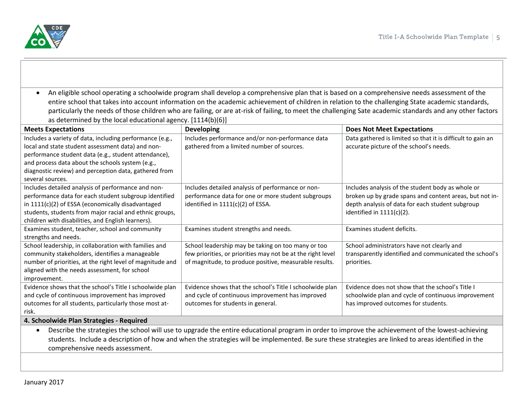

• An eligible school operating a schoolwide program shall develop a comprehensive plan that is based on a comprehensive needs assessment of the entire school that takes into account information on the academic achievement of children in relation to the challenging State academic standards, particularly the needs of those children who are failing, or are at-risk of failing, to meet the challenging Sate academic standards and any other factors as determined by the local educational agency. [1114(b)(6)]

| <b>Meets Expectations</b>                                                                                                                                      | <b>Developing</b>                                           | <b>Does Not Meet Expectations</b>                           |
|----------------------------------------------------------------------------------------------------------------------------------------------------------------|-------------------------------------------------------------|-------------------------------------------------------------|
| Includes a variety of data, including performance (e.g.,                                                                                                       | Includes performance and/or non-performance data            | Data gathered is limited so that it is difficult to gain an |
| local and state student assessment data) and non-                                                                                                              | gathered from a limited number of sources.                  | accurate picture of the school's needs.                     |
| performance student data (e.g., student attendance),                                                                                                           |                                                             |                                                             |
| and process data about the schools system (e.g.,                                                                                                               |                                                             |                                                             |
| diagnostic review) and perception data, gathered from                                                                                                          |                                                             |                                                             |
| several sources.                                                                                                                                               |                                                             |                                                             |
| Includes detailed analysis of performance and non-                                                                                                             | Includes detailed analysis of performance or non-           | Includes analysis of the student body as whole or           |
| performance data for each student subgroup identified                                                                                                          | performance data for one or more student subgroups          | broken up by grade spans and content areas, but not in-     |
| in 1111(c)(2) of ESSA (economically disadvantaged                                                                                                              | identified in 1111(c)(2) of ESSA.                           | depth analysis of data for each student subgroup            |
| students, students from major racial and ethnic groups,                                                                                                        |                                                             | identified in $1111(c)(2)$ .                                |
| children with disabilities, and English learners).                                                                                                             |                                                             |                                                             |
| Examines student, teacher, school and community                                                                                                                | Examines student strengths and needs.                       | Examines student deficits.                                  |
| strengths and needs.                                                                                                                                           |                                                             |                                                             |
| School leadership, in collaboration with families and                                                                                                          | School leadership may be taking on too many or too          | School administrators have not clearly and                  |
| community stakeholders, identifies a manageable                                                                                                                | few priorities, or priorities may not be at the right level | transparently identified and communicated the school's      |
| number of priorities, at the right level of magnitude and                                                                                                      | of magnitude, to produce positive, measurable results.      | priorities.                                                 |
| aligned with the needs assessment, for school                                                                                                                  |                                                             |                                                             |
| improvement.                                                                                                                                                   |                                                             |                                                             |
| Evidence shows that the school's Title I schoolwide plan                                                                                                       | Evidence shows that the school's Title I schoolwide plan    | Evidence does not show that the school's Title I            |
| and cycle of continuous improvement has improved                                                                                                               | and cycle of continuous improvement has improved            | schoolwide plan and cycle of continuous improvement         |
| outcomes for all students, particularly those most at-                                                                                                         | outcomes for students in general.                           | has improved outcomes for students.                         |
| risk.                                                                                                                                                          |                                                             |                                                             |
| 4. Schoolwide Plan Strategies - Required                                                                                                                       |                                                             |                                                             |
| Describe the strategies the school will use to upgrade the entire educational program in order to improve the achievement of the lowest-achieving<br>$\bullet$ |                                                             |                                                             |
|                                                                                                                                                                |                                                             |                                                             |

students. Include a description of how and when the strategies will be implemented. Be sure these strategies are linked to areas identified in the comprehensive needs assessment.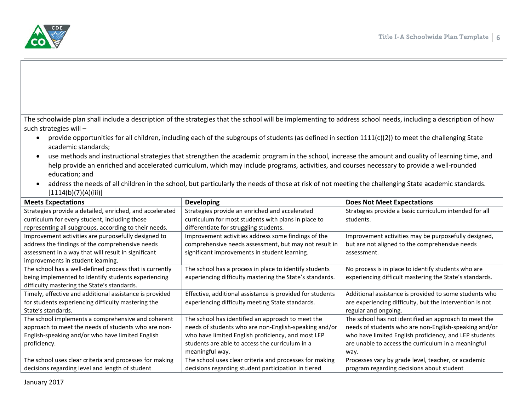

The schoolwide plan shall include a description of the strategies that the school will be implementing to address school needs, including a description of how such strategies will –

- provide opportunities for all children, including each of the subgroups of students (as defined in section 1111(c)(2)) to meet the challenging State academic standards;
- use methods and instructional strategies that strengthen the academic program in the school, increase the amount and quality of learning time, and help provide an enriched and accelerated curriculum, which may include programs, activities, and courses necessary to provide a well-rounded education; and
- address the needs of all children in the school, but particularly the needs of those at risk of not meeting the challenging State academic standards. [1114(b)(7)(A)(iii)]

| <b>Meets Expectations</b>                                | <b>Developing</b>                                         | <b>Does Not Meet Expectations</b>                        |
|----------------------------------------------------------|-----------------------------------------------------------|----------------------------------------------------------|
| Strategies provide a detailed, enriched, and accelerated | Strategies provide an enriched and accelerated            | Strategies provide a basic curriculum intended for all   |
| curriculum for every student, including those            | curriculum for most students with plans in place to       | students.                                                |
| representing all subgroups, according to their needs.    | differentiate for struggling students.                    |                                                          |
| Improvement activities are purposefully designed to      | Improvement activities address some findings of the       | Improvement activities may be purposefully designed,     |
| address the findings of the comprehensive needs          | comprehensive needs assessment, but may not result in     | but are not aligned to the comprehensive needs           |
| assessment in a way that will result in significant      | significant improvements in student learning.             | assessment.                                              |
| improvements in student learning.                        |                                                           |                                                          |
| The school has a well-defined process that is currently  | The school has a process in place to identify students    | No process is in place to identify students who are      |
| being implemented to identify students experiencing      | experiencing difficulty mastering the State's standards.  | experiencing difficult mastering the State's standards.  |
| difficulty mastering the State's standards.              |                                                           |                                                          |
| Timely, effective and additional assistance is provided  | Effective, additional assistance is provided for students | Additional assistance is provided to some students who   |
| for students experiencing difficulty mastering the       | experiencing difficulty meeting State standards.          | are experiencing difficulty, but the intervention is not |
| State's standards.                                       |                                                           | regular and ongoing.                                     |
| The school implements a comprehensive and coherent       | The school has identified an approach to meet the         | The school has not identified an approach to meet the    |
| approach to meet the needs of students who are non-      | needs of students who are non-English-speaking and/or     | needs of students who are non-English-speaking and/or    |
| English-speaking and/or who have limited English         | who have limited English proficiency, and most LEP        | who have limited English proficiency, and LEP students   |
| proficiency.                                             | students are able to access the curriculum in a           | are unable to access the curriculum in a meaningful      |
|                                                          | meaningful way.                                           | way.                                                     |
| The school uses clear criteria and processes for making  | The school uses clear criteria and processes for making   | Processes vary by grade level, teacher, or academic      |
| decisions regarding level and length of student          | decisions regarding student participation in tiered       | program regarding decisions about student                |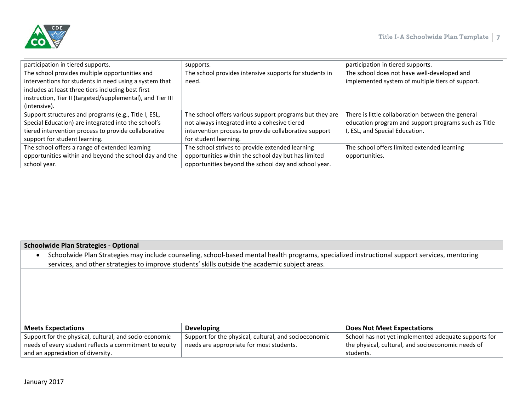

| participation in tiered supports.                          | supports.                                               | participation in tiered supports.                    |
|------------------------------------------------------------|---------------------------------------------------------|------------------------------------------------------|
| The school provides multiple opportunities and             | The school provides intensive supports for students in  | The school does not have well-developed and          |
| interventions for students in need using a system that     | need.                                                   | implemented system of multiple tiers of support.     |
| includes at least three tiers including best first         |                                                         |                                                      |
| instruction, Tier II (targeted/supplemental), and Tier III |                                                         |                                                      |
| (intensive).                                               |                                                         |                                                      |
| Support structures and programs (e.g., Title I, ESL,       | The school offers various support programs but they are | There is little collaboration between the general    |
| Special Education) are integrated into the school's        | not always integrated into a cohesive tiered            | education program and support programs such as Title |
| tiered intervention process to provide collaborative       | intervention process to provide collaborative support   | I, ESL, and Special Education.                       |
| support for student learning.                              | for student learning.                                   |                                                      |
| The school offers a range of extended learning             | The school strives to provide extended learning         | The school offers limited extended learning          |
| opportunities within and beyond the school day and the     | opportunities within the school day but has limited     | opportunities.                                       |
| school year.                                               | opportunities beyond the school day and school year.    |                                                      |

## **Schoolwide Plan Strategies - Optional**

| Schoolwide Plan Strategies may include counseling, school-based mental health programs, specialized instructional support services, mentoring |
|-----------------------------------------------------------------------------------------------------------------------------------------------|
| services, and other strategies to improve students' skills outside the academic subject areas.                                                |

| <b>Meets Expectations</b>                              | <b>Developing</b>                                     | <b>Does Not Meet Expectations</b>                    |
|--------------------------------------------------------|-------------------------------------------------------|------------------------------------------------------|
| Support for the physical, cultural, and socio-economic | Support for the physical, cultural, and socioeconomic | School has not yet implemented adequate supports for |
| needs of every student reflects a commitment to equity | needs are appropriate for most students.              | the physical, cultural, and socioeconomic needs of   |
| and an appreciation of diversity.                      |                                                       | students.                                            |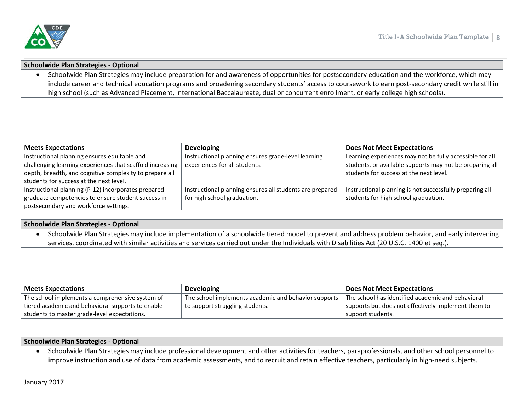

| <b>Schoolwide Plan Strategies - Optional</b>                                                                                                                                                                                                                                                                                                                                                                                                                |                                                          |                                                          |
|-------------------------------------------------------------------------------------------------------------------------------------------------------------------------------------------------------------------------------------------------------------------------------------------------------------------------------------------------------------------------------------------------------------------------------------------------------------|----------------------------------------------------------|----------------------------------------------------------|
| Schoolwide Plan Strategies may include preparation for and awareness of opportunities for postsecondary education and the workforce, which may<br>$\bullet$<br>include career and technical education programs and broadening secondary students' access to coursework to earn post-secondary credit while still in<br>high school (such as Advanced Placement, International Baccalaureate, dual or concurrent enrollment, or early college high schools). |                                                          |                                                          |
|                                                                                                                                                                                                                                                                                                                                                                                                                                                             |                                                          |                                                          |
|                                                                                                                                                                                                                                                                                                                                                                                                                                                             |                                                          |                                                          |
|                                                                                                                                                                                                                                                                                                                                                                                                                                                             |                                                          |                                                          |
|                                                                                                                                                                                                                                                                                                                                                                                                                                                             |                                                          |                                                          |
| <b>Meets Expectations</b>                                                                                                                                                                                                                                                                                                                                                                                                                                   | <b>Developing</b>                                        | <b>Does Not Meet Expectations</b>                        |
| Instructional planning ensures equitable and                                                                                                                                                                                                                                                                                                                                                                                                                | Instructional planning ensures grade-level learning      | Learning experiences may not be fully accessible for all |
| challenging learning experiences that scaffold increasing                                                                                                                                                                                                                                                                                                                                                                                                   | experiences for all students.                            | students, or available supports may not be preparing all |
| depth, breadth, and cognitive complexity to prepare all                                                                                                                                                                                                                                                                                                                                                                                                     |                                                          | students for success at the next level.                  |
| students for success at the next level.                                                                                                                                                                                                                                                                                                                                                                                                                     |                                                          |                                                          |
| Instructional planning (P-12) incorporates prepared                                                                                                                                                                                                                                                                                                                                                                                                         | Instructional planning ensures all students are prepared | Instructional planning is not successfully preparing all |
| graduate competencies to ensure student success in                                                                                                                                                                                                                                                                                                                                                                                                          | for high school graduation.                              | students for high school graduation.                     |
| postsecondary and workforce settings.                                                                                                                                                                                                                                                                                                                                                                                                                       |                                                          |                                                          |

|                                                                                                                                                   | <b>Schoolwide Plan Strategies - Optional</b> |  |  |
|---------------------------------------------------------------------------------------------------------------------------------------------------|----------------------------------------------|--|--|
| Schoolwide Plan Strategies may include implementation of a schoolwide tiered model to prevent and address problem behavior, and early intervening |                                              |  |  |
| services, coordinated with similar activities and services carried out under the Individuals with Disabilities Act (20 U.S.C. 1400 et seq.).      |                                              |  |  |
|                                                                                                                                                   |                                              |  |  |

| <b>Meets Expectations</b>                         | <b>Developing</b>                                    | <b>Does Not Meet Expectations</b>                   |
|---------------------------------------------------|------------------------------------------------------|-----------------------------------------------------|
| The school implements a comprehensive system of   | The school implements academic and behavior supports | The school has identified academic and behavioral   |
| tiered academic and behavioral supports to enable | to support struggling students.                      | supports but does not effectively implement them to |
| students to master grade-level expectations.      |                                                      | support students.                                   |

| <b>Schoolwide Plan Strategies - Optional</b> |                                                                                                                                                     |
|----------------------------------------------|-----------------------------------------------------------------------------------------------------------------------------------------------------|
|                                              | Schoolwide Plan Strategies may include professional development and other activities for teachers, paraprofessionals, and other school personnel to |
|                                              | improve instruction and use of data from academic assessments, and to recruit and retain effective teachers, particularly in high-need subjects.    |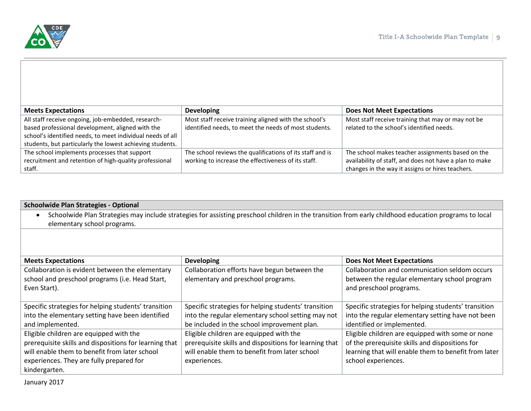

| <b>Meets Expectations</b>                                  | <b>Developing</b>                                         | <b>Does Not Meet Expectations</b>                       |
|------------------------------------------------------------|-----------------------------------------------------------|---------------------------------------------------------|
|                                                            |                                                           |                                                         |
| All staff receive ongoing, job-embedded, research-         | Most staff receive training aligned with the school's     | Most staff receive training that may or may not be      |
| based professional development, aligned with the           | identified needs, to meet the needs of most students.     | related to the school's identified needs.               |
| school's identified needs, to meet individual needs of all |                                                           |                                                         |
| students, but particularly the lowest achieving students.  |                                                           |                                                         |
| The school implements processes that support               | The school reviews the qualifications of its staff and is | The school makes teacher assignments based on the       |
| recruitment and retention of high-quality professional     | working to increase the effectiveness of its staff.       | availability of staff, and does not have a plan to make |
| staff.                                                     |                                                           | changes in the way it assigns or hires teachers.        |

| <b>Schoolwide Plan Strategies - Optional</b>                                                                                                                       |                                                        |                                                      |  |  |
|--------------------------------------------------------------------------------------------------------------------------------------------------------------------|--------------------------------------------------------|------------------------------------------------------|--|--|
| Schoolwide Plan Strategies may include strategies for assisting preschool children in the transition from early childhood education programs to local<br>$\bullet$ |                                                        |                                                      |  |  |
| elementary school programs.                                                                                                                                        |                                                        |                                                      |  |  |
|                                                                                                                                                                    |                                                        |                                                      |  |  |
|                                                                                                                                                                    |                                                        |                                                      |  |  |
|                                                                                                                                                                    |                                                        |                                                      |  |  |
| <b>Meets Expectations</b>                                                                                                                                          | <b>Developing</b>                                      | <b>Does Not Meet Expectations</b>                    |  |  |
| Collaboration is evident between the elementary                                                                                                                    | Collaboration efforts have begun between the           | Collaboration and communication seldom occurs        |  |  |
| school and preschool programs (i.e. Head Start,                                                                                                                    | elementary and preschool programs.                     | between the regular elementary school program        |  |  |
| Even Start).                                                                                                                                                       |                                                        | and preschool programs.                              |  |  |
|                                                                                                                                                                    |                                                        |                                                      |  |  |
| Specific strategies for helping students' transition                                                                                                               | Specific strategies for helping students' transition   | Specific strategies for helping students' transition |  |  |
| into the elementary setting have been identified                                                                                                                   | into the regular elementary school setting may not     | into the regular elementary setting have not been    |  |  |
| and implemented.                                                                                                                                                   | be included in the school improvement plan.            | identified or implemented.                           |  |  |
| Eligible children are equipped with the                                                                                                                            | Eligible children are equipped with the                | Eligible children are equipped with some or none     |  |  |
| prerequisite skills and dispositions for learning that                                                                                                             | prerequisite skills and dispositions for learning that | of the prerequisite skills and dispositions for      |  |  |
| will enable them to benefit from later school                                                                                                                      | will enable them to benefit from later school          | learning that will enable them to benefit from later |  |  |
| experiences. They are fully prepared for                                                                                                                           | experiences.                                           | school experiences.                                  |  |  |
| kindergarten.                                                                                                                                                      |                                                        |                                                      |  |  |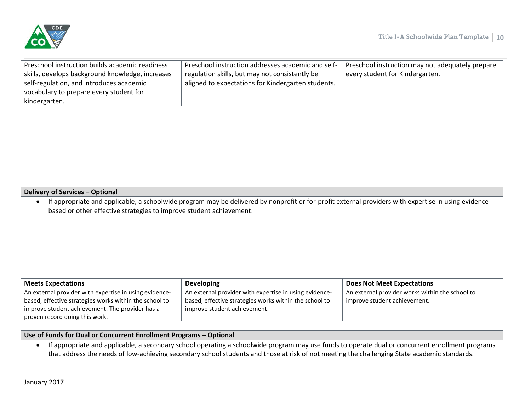



| Preschool instruction builds academic readiness  | Preschool instruction addresses academic and self- | Preschool instruction may not adequately prepare |
|--------------------------------------------------|----------------------------------------------------|--------------------------------------------------|
| skills, develops background knowledge, increases | regulation skills, but may not consistently be     | every student for Kindergarten.                  |
| self-regulation, and introduces academic         | aligned to expectations for Kindergarten students. |                                                  |
| vocabulary to prepare every student for          |                                                    |                                                  |
| kindergarten.                                    |                                                    |                                                  |
|                                                  |                                                    |                                                  |

#### **Delivery of Services – Optional**

| • If appropriate and applicable, a schoolwide program may be delivered by nonprofit or for-profit external providers with expertise in using evidence- |
|--------------------------------------------------------------------------------------------------------------------------------------------------------|
| based or other effective strategies to improve student achievement.                                                                                    |

| <b>Meets Expectations</b>                              | <b>Developing</b>                                      | <b>Does Not Meet Expectations</b>               |
|--------------------------------------------------------|--------------------------------------------------------|-------------------------------------------------|
| An external provider with expertise in using evidence- | An external provider with expertise in using evidence- | An external provider works within the school to |
| based, effective strategies works within the school to | based, effective strategies works within the school to | improve student achievement.                    |
| improve student achievement. The provider has a        | improve student achievement.                           |                                                 |
| proven record doing this work.                         |                                                        |                                                 |

### **Use of Funds for Dual or Concurrent Enrollment Programs – Optional**

• If appropriate and applicable, a secondary school operating a schoolwide program may use funds to operate dual or concurrent enrollment programs that address the needs of low-achieving secondary school students and those at risk of not meeting the challenging State academic standards.